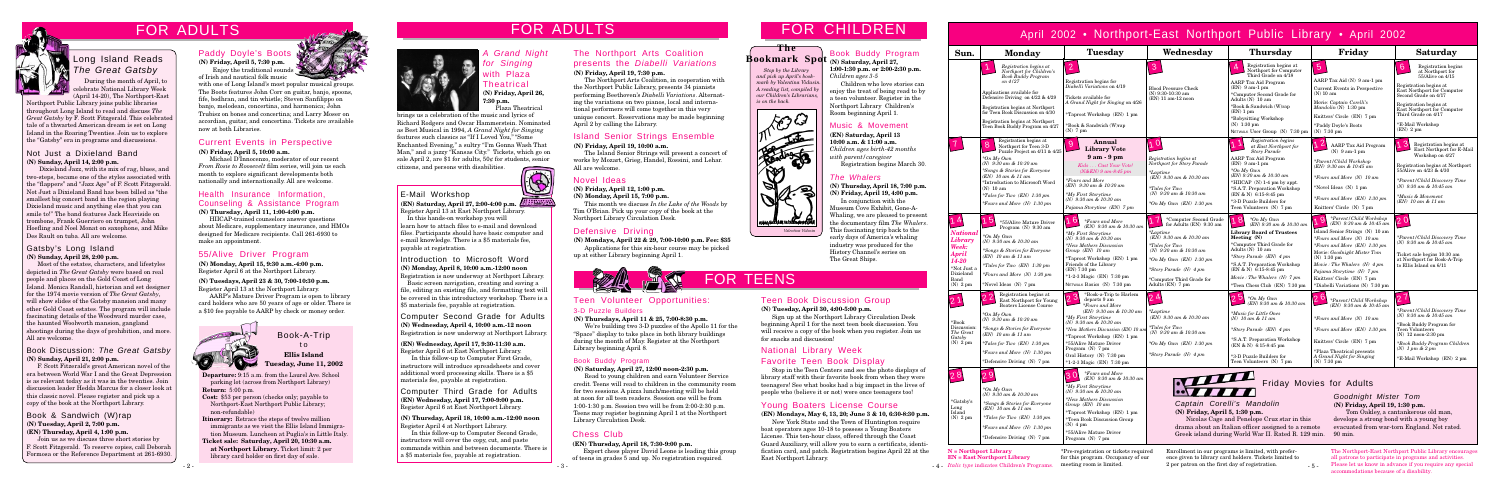# FOR ADULTS FOR CHILDREN

**Departure:** 9:15 a.m. from the Laurel Ave. School parking lot (across from Northport Library) **Return:** 5:00 p.m.

**Cost:** \$53 per person (checks only; payable to Northport-East Northport Public Library; non-refundable)

**Itinerary:** Retrace the steps of twelve million immigrants as we visit the Ellis Island Immigration Museum. Luncheon at Puglia's in Little Italy.

**Ticket sale: Saturday, April 20, 10:30 a.m. at Northport Library.** Ticket limit: 2 per library card holder on first day of sale.



# Book-A-Trip  $\overline{t}$  o **Ellis Island Tuesday, June 11, 2002**

# Music & Movement

**(EN) Saturday, April 13 10:00 a.m. & 11:00 a.m.** *Children ages birth-42 months with parent/caregiver* Registration begins March 30.

Computer Third Grade for Adults **(EN) Wednesday, April 17, 7:00-9:00 p.m.** Register April 6 at East Northport Library.

**(N) Thursday, April 18, 10:00 a.m.-12:00 noon** Register April 4 at Northport Library.

In this follow-up to Computer Second Grade, instructors will cover the copy, cut, and paste commands within and between documents. There is a \$5 materials fee, payable at registration.

 *Stop by the Library and pick up April's bookmark by Valentina Vidusin. A reading list, compiled by our Children's Librarians, is on the back.*



**(N) Friday, April 5, 7:30 p.m.** Enjoy the traditional sounds

## Current Events in Perspective

# *A* Grand Night *for Singing* with Plaza Theatrical **(N) Friday, April 26,**

**7:30 p.m.** Plaza Theatrica

#### **(N) Friday, April 5, 10:00 a.m.**

Michael D'Innocenzo, moderator of our recent *From Rosie to Roosevelt* film series, will join us each month to explore significant developments both nationally and internationally. All are welcome.

# 55/Alive Driver Program

**(N) Monday, April 15, 9:30 a.m.-4:00 p.m.** Register April 6 at the Northport Library.

**(N) Tuesdays, April 23 & 30, 7:00-10:30 p.m.** Register April 13 at the Northport Library.

AARP's Mature Driver Program is open to library card holders who are 50 years of age or older. There is a \$10 fee payable to AARP by check or money order.



## Defensive Driving

**(N) Mondays, April 22 & 29, 7:00-10:00 p.m. Fee: \$35**

Applications for this six-hour course may be picked up at either Library beginning April 1.



# FOR ADULTS

#### Novel Ideas

**(N) Friday, April 12, 1:00 p.m.**

**(N) Monday, April 15, 7:00 p.m.**

This month we discuss *In the Lake of the Woods* by Tim O'Brian. Pick up your copy of the book at the Northport Library Circulation Desk.

#### Book & Sandwich (W)rap **(N) Tuesday, April 2, 7:00 p.m. (EN) Thursday, April 4, 1:00 p.m.**

Join us as we discuss three short stories by F. Scott Fitzgerald. To reserve copies, call Deborah Formosa or the Reference Department at 261-6930.

# Paddy Doyle's Boots

of Irish and nautical folk music

with one of Long Island's most popular musical groups. The Boots features John Corr on guitar, banjo, spoons, fife, bodhran, and tin whistle; Steven Sanfilippo on banjo, melodean, concertina, and harmonica; John Trubisz on bones and concertina; and Larry Moser on accordian, guitar, and concertina. Tickets are available now at both Libraries.

#### Book Discussion: *The Great Gatsby* **(N) Sunday, April 21, 2:00 p.m.**

Basic screen navigation, creating and saving a file, editing an existing file, and formatting text will be covered in this introductory workshop. There is a \$5 materials fee, payable at registration.

F. Scott Fitzerald's great American novel of the era between World War I and the Great Depression is as relevant today as it was in the twenties. Join discussion leader Hedda Marcus for a closer look at this classic novel. Please register and pick up a copy of the book at the Northport Library.

*Italic type* indicates Children's Programs.

Enrollment in our programs is limited, with preference given to library card holders. Tickets limited to 2 per patron on the first day of registration.

**N = Northport Library EN = East Northport Library**

# April 2002 • Northport-East Northport Public Library • April 2002



 $-5 -$ 

\*Pre-registration or tickets required for this program. Occupancy of our meeting room is limited.

The Northport-East Northport Public Library encourages all patrons to participate in programs and activities. Please let us know in advance if you require any special accommodations because of a disability.

## **The Bookmark Spot (N) Saturday, April 27,**

Computer Second Grade for Adults **(N) Wednesday, April 4, 10:00 a.m.-12 noon** Registration is now underway at Northport Library.

**(EN) Wednesday, April 17, 9:30-11:30 a.m.** Register April 6 at East Northport Library.

In this follow-up to Computer First Grade, instructors will introduce spreadsheets and cover additional word processing skills. There is a \$5 materials fee, payable at registration.

# E-Mail Workshop

**(EN) Saturday, April 27, 2:00-4:00 p.m.** Register April 13 at East Northport Library.

 In this hands-on workshop you will learn how to attach files to e-mail and download files. Participants should have basic computer and e-mail knowledge. There is a \$5 materials fee, payable at registration.

# Introduction to Microsoft Word

**(N) Monday, April 8, 10:00 a.m.-12:00 noon** Registration is now underway at Northport Library.

#### Not Just a Dixieland Band **(N) Sunday, April 14, 2:00 p.m.**

 Dixieland Jazz, with its mix of rag, blues, and two-steps, became one of the styles associated with the "flappers" and "Jazz Age" of F. Scott Fitzgerald. Not Just a Dixieland Band has been billed as "the smallest big concert band in the region playing Dixieland music and anything else that you can smile to!" The band features Jack Heaviside on trombone, Frank Guerriero on trumpet, John Hoefling and Noel Monat on saxophone, and Mike Des Rault on tuba. All are welcome.

### Gatsby's Long Island **(N) Sunday, April 28, 2:00 p.m.**

Most of the estates, characters, and lifestyles depicted in *The Great Gatsby* were based on real people and places on the Gold Coast of Long Island. Monica Randall, historian and set designer for the 1974 movie version of *The Great Gatsby*, will show slides of the Gatsby mansion and many other Gold Coast estates. The program will include fascinating details of the Woodward murder case, the haunted Woolworth mansion, gangland shootings during the days of prohibition, and more. All are welcome.

### Island Senior Strings Ensemble

#### **(N) Friday, April 19, 10:00 a.m.**

The Island Senior Strings will present a concert of works by Mozart, Grieg, Handel, Rossini, and Lehar. All are welcome.

| Sun.                                                                                                    | <b>Monday</b>                                                                                                                                                                                                                                                                                                            | <b>Tuesday</b>                                                                                                                                                                                                                                                                                                                                  | Wednesday                                                                                                                                                                                                                                        | <b>Thursday</b>                                                                                                                                                                                                                                                                                          | Friday                                                                                                                                                                                                                                                                                                                                     | <b>Saturday</b>                                                                                                                                                                                                                                                                 |
|---------------------------------------------------------------------------------------------------------|--------------------------------------------------------------------------------------------------------------------------------------------------------------------------------------------------------------------------------------------------------------------------------------------------------------------------|-------------------------------------------------------------------------------------------------------------------------------------------------------------------------------------------------------------------------------------------------------------------------------------------------------------------------------------------------|--------------------------------------------------------------------------------------------------------------------------------------------------------------------------------------------------------------------------------------------------|----------------------------------------------------------------------------------------------------------------------------------------------------------------------------------------------------------------------------------------------------------------------------------------------------------|--------------------------------------------------------------------------------------------------------------------------------------------------------------------------------------------------------------------------------------------------------------------------------------------------------------------------------------------|---------------------------------------------------------------------------------------------------------------------------------------------------------------------------------------------------------------------------------------------------------------------------------|
|                                                                                                         | Registration begins at<br>Northport for Children's<br><b>Book Buddy Program</b><br>on 4/27<br>Applications available for<br>Defensive Driving on $4/22$ & $4/29$<br>Registration begins at Northport<br>for Teen Book Discussion on 4/30<br>Registration begins at Northport<br>Teen Book Buddy Program on 4/27          | $\overline{2}$<br>Registration begins for<br>Diabelli Variations on 4/19<br>Tickets available for<br>A Grand Night for Singing on 4/26<br>*Taproot Workshop (EN) 1 pm<br>*Book & Sandwich (W)rap<br>$(N)$ 7 pm                                                                                                                                  | 3<br><b>Blood Pressure Check</b><br>(N) 9:30-10:30 am<br>(EN) 11 am-12 noon                                                                                                                                                                      | Registration begins at<br>Northport for Computer<br>Third Grade on $4/18$<br><b>AARP</b> Tax Aid Program<br>$(EN)$ 9 am-1 pm<br>*Computer Second Grade for<br>Adults (N) 10 am<br>*Book & Sandwich (W)rap<br>(EN) 1 pm<br>*Babysitting Workshop<br>$(N)$ 1:30 pm<br>NETWALK User Group (N) 7:30 pm       | $\overline{5}$<br>AARP Tax Aid (N) 9 am-1 pm<br>Current Events in Perspective<br>$(N)$ 10 am<br>Movie: Captain Corelli's<br>Mandolin (N) 1:30 pm<br>Knitters' Circle (EN) 7 pm<br>*Paddy Doyle's Boots<br>$(N)$ 7:30 pm                                                                                                                    | $\overline{6}$<br>Registration begins<br>at Northport for<br>55/Alive on 4/15<br>Registration begins at<br>East Northport for Computer<br>Second Grade on 4/17<br>Registration begins at<br>East Northport for Computer<br>Third Grade on 4/17<br>*E-Mail Workshop<br>(EN) 2 pm |
|                                                                                                         | Registration begins at<br> 8 <br>Northport for Teen 3-D<br>Puzzle Project on 4/11 & 4/25<br>*On My Own<br>(N) 9:30 am & 10:30 am<br>*Songs & Stories for Everyone<br>(EN) 10 am & 11 am<br>*Introduction to Microsoft Word<br>$(N)$ 10 am<br><i>*Tales for Two (EN)</i> $1:30 \text{ pm}$<br>*Fours and More (N) 1:30 pm | Annual<br>9<br><b>Library Vote</b><br>$9am - 9pm$<br>Kids Cast Your Vote!<br>$(N&EN) 9 am-8:45 pm$<br><i>*Fours and More</i><br>(EN) 9:30 am & 10:30 am<br>*My First Storytime<br>(N) $9:30$ am & 10:30 am<br>Pajama Storytime (EN) 7 pm                                                                                                        | 1 0<br>Registration begins at<br>Northport for Story Parade<br>$*Laptime$<br>(EN) 9:30 am & 10:30 am<br><i>*Tales for Two</i><br>(N) 9:30 am & 10:30 am<br>*On My Own $(EN)$ 1:30 pm                                                             | Registration begins<br>at East Northport for<br>Story Parade<br>AARP Tax Aid Program<br>$(EN)$ 9 am-1 pm<br>$*On$ My Own<br>(EN) 9:30 am & 10:30 am<br>*HIICAP (N) 1-4 pm by appt.<br>*S.A.T. Preparation Workshop<br>$(EN & N)$ 6:15-8:45 pm<br>*3-D Puzzle Builders for<br>Teen Volunteers (N) 7 pm    | $\vert 2 \vert$<br><b>AARP</b> Tax Aid Program<br>$(N)$ 9 am-1 pm<br>*Parent / Child Workshop<br>(EN) 9:30 am & 10:45 am<br>$*Fours$ and More (N) 10 am<br>*Novel Ideas (N) 1 pm<br>*Fours and More (EN) 1:30 pm<br>Knitters' Circle (N) 7 pm                                                                                              | Registration begins at<br>East Northport for E-Mail<br>Workshop on 4/27<br>Registration begins at Northport<br>55/Alive on 4/23 & 4/30<br>*Parent/Child Discovery Time<br>(N) $9:30 \text{ am} \& 10:45 \text{ am}$<br><i>*Music &amp; Movement</i><br>$(EN)$ 10 am & 11 am     |
| National<br>Library<br>Week:<br><b>April</b><br>14-20<br>*Not Just a<br>Dixieland<br>Band<br>$(N)$ 2 pm | יכ<br>*55/Alive Mature Driver<br>Program $(N)$ 9:30 am<br>*On My Own<br>(N) 9:30 am & 10:30 am<br>*Songs & Stories for Everyone<br>$(EN)$ 10 am & 11 am<br><i>*Tales for Two (EN)</i> 1:30 pm<br>*Fours and More $(N)$ 1:30 pm<br>*Novel Ideas (N) 7 pm                                                                  | 6<br><i>*Fours and More</i><br>(EN) 9:30 am & 10:30 am<br>*My First Storytime<br>$(N)$ 9:30 am & 10:30 am<br><i>*New Mothers Discussion</i><br>Group $(EN)$ 10 am<br>*Taproot Workshop (EN) 1 pm<br>Friends of the Library<br>(EN) 7:30 pm<br>*1-2-3 Magic (EN) 7:30 pm<br>NETWALK Basics (N) 7:30 pm                                           | *Computer Second Grade<br>for Adults (EN) 9:30 am<br>*Laptime<br>(EN) 9:30 am & 10:30 am<br>$*Tales$ for $Two$<br>(N) 9:30 am & 10:30 am<br>*On My Own $(EN)$ 1:30 pm<br>*Story Parade (N) 4 pm<br>*Computer Third Grade for<br>Adults (EN) 7 pm | 8<br>$*On Mv Own$<br>(EN) 9:30 am & 10:30 am<br><b>Library Board of Trustees</b><br>Meeting (N)<br>*Computer Third Grade for<br>Adults $(N)$ 10 am<br>*Story Parade (EN) 4 pm<br>*S.A.T. Preparation Workshop<br>$(EN & N)$ 6:15-8:45 pm<br>Movie: The Whalers (N) 7 pm<br>*Teen Chess Club (EN) 7:30 pm | *Parent / Child Workshop<br>9<br>(EN) 9:30 am & 10:45 am<br>Island Senior Strings (N) 10 am<br>$*Fours$ and More (N) 10 am<br>*Fours and More (EN) 1:30 pm<br>Movie: Goodnight Mister Tom<br>$(N)$ 1:30 pm<br>Movie: The Whalers $(N)$ 4 pm<br>Pajama Storytime (N) 7 pm<br>Knitters' Circle (EN) 7 pm<br>*Diabelli Variations (N) 7:30 pm | *Parent/Child Discovery Time<br>(N) $9:30$ am & $10:45$ am<br>Ticket sale begins 10:30 am<br>at Northport for Book-A-Trip<br>to Ellis Island on 6/11                                                                                                                            |
| $*$ Book<br>Discussion:<br>The Great<br>Gatsby<br>$(N)$ 2 pm                                            | Registration begins at<br>East Northport for Young<br><b>Boaters License Course</b><br>*On My Own<br>(N) 9:30 am & 10:30 am<br>*Songs & Stories for Everyone<br>$(EN)$ 10 am & 11 am<br><i>*Tales for Two (EN)</i> $1:30 \text{ pm}$<br>$*Fours$ and More (N) 1:30 pm<br>*Defensive Driving (N) 7 pm                     | *Book-a-Trip to Harlem<br>2 <sup>3</sup><br>departs 9 am<br><i>*Fours and More</i><br>(EN) 9:30 am & 10:30 am<br>$*Mv$ First Storytime<br>(N) $9:30$ am & 10:30 am<br>*New Mothers Discussion (EN) 10 am<br>*Taproot Workshop (EN) 1 pm<br>*55/Alive Mature Driver<br>Program (N) 7 pm<br>Oral History (N) 7:30 pm<br>*1-2-3 Magic (EN) 7:30 pm | $2^{\,\Delta}$<br>*Laptime<br>(EN) 9:30 am & 10:30 am<br>$*Tales$ for Two<br>(N) 9:30 am & 10:30 am<br>*On $Mv$ Own $(EN)$ 1:30 pm<br>*Story Parade (N) 4 pm                                                                                     | $\sqrt{5}$<br>$\overline{2}$<br>$*On$ My Own<br>(EN) 9:30 am & 10:30 am<br>*Music for Little Ones<br>$(N)$ 10 am & 11 am<br>*Story Parade (EN) 4 pm<br>*S.A.T. Preparation Workshop<br>$(EN & N)$ 6:15-8:45 pm<br>*3-D Puzzle Builders for<br>Teen Volunteers (N) 7 pm                                   | 6<br>*Parent / Child Workshop<br>(EN) 9:30 am & 10:45 am<br>*Fours and More $(N)$ 10 am<br>*Fours and More (EN) 1:30 pm<br>Knitters' Circle (EN) 7 pm<br>*Plaza Theatrical presents<br>A Grand Night for Singing<br>$(N)$ 7:30 pm                                                                                                          | $2^{\circ}$<br>*Parent/Child Discovery Time<br>(N) 9:30 am & 10:45 am<br>*Book Buddy Program for<br><b>Teen Volunteers</b><br>(N) 12 noon-2:30 pm<br>*Book Buddy Program Children<br>$(N)$ 1 pm & 2 pm<br>*E-Mail Workshop (EN) 2 pm                                            |
| *Gatsby's<br>Long<br>Island<br>$(N)$ 2 pm                                                               | 29<br>*On My Own<br>(N) $9:30$ am & $10:30$ am<br>*Songs & Stories for Everyone<br>$(EN)$ 10 am & 11 am<br>*Tales for Two $(EN)$ 1:30 pm<br>$*Fours$ and More (N) 1:30 pm<br>*Defensive Driving (N) 7 pm                                                                                                                 | <i>*Fours and More</i><br>13 C<br>(EN) 9:30 am & 10:30 am<br>*My First Storytime<br>(N) 9:30 am & 10:30 am<br><i>*New Mothers Discussion</i><br>Group (EN) 10 am<br>*Taproot Workshop (EN) 1 pm<br>*Teen Book Discussion Group<br>$(N)$ 4 pm<br>*55/Alive Mature Driver<br>Program $(N)$ 7 pm                                                   | Ш<br>(N) Friday, April 5, 1:30 p.m.                                                                                                                                                                                                              | Captain Corelli's Mandolin<br>Nicolas Cage and Penelope Cruz star in this<br>drama about an Italian officer assigned to a remote<br>Greek island during World War II. Rated R. 129 min.                                                                                                                  | Friday Movies for Adults<br>Goodnight Mister Tom<br>(N) Friday, April 19, 1:30 p.m.<br>develops a strong bond with a young boy<br>90 min.                                                                                                                                                                                                  | Tom Oakley, a cantankerous old man,<br>evacuated from war-torn England. Not rated.                                                                                                                                                                                              |



# Long Island Reads *The Great Gatsby*

## Teen Book Discussion Group

#### **(N) Tuesday, April 30, 4:00-5:00 p.m.**

Sign up at the Northport Library Circulation Desk beginning April 1 for the next teen book discussion. You will receive a copy of the book when you register. Join us for snacks and discussion!

# Book Buddy Program

**1:00-1:30 p.m. or 2:00-2:30 p.m.** *Children ages 3-5*

Children who love stories can enjoy the treat of being read to by a teen volunteer. Register in the Northport Library Children's Room beginning April 1.

# National Library Week Favorite Teen Book Display

Stop in the Teen Centers and see the photo displays of library staff with their favorite book from when they were teenagers! See what books had a big impact in the lives of people who (believe it or not) were once teenagers too!

## Young Boaters License Course

**(EN) Mondays, May 6, 13, 20; June 3 & 10, 6:30-8:30 p.m.** New York State and the Town of Huntington require boat operators ages 10-18 to possess a Young Boaters License. This ten-hour class, offered through the Coast Guard Auxiliary, will allow you to earn a certificate, identification card, and patch. Registration begins April 22 at the East Northport Library.

### Chess Club

#### **(EN) Thursday, April 18, 7:30-9:00 p.m.**

Expert chess player David Leone is leading this group of teens in grades 5 and up. No registration required.

### Teen Volunteer Opportunities: 3-D Puzzle Builders

#### **(N) Thursdays, April 11 & 25, 7:00-8:30 p.m.**

We're building two 3-D puzzles of the Apollo 11 for the "Space" display to take place in both library buildings during the month of May. Register at the Northport Library beginning April 8.

#### Book Buddy Program

#### **(N) Saturday, April 27, 12:00 noon-2:30 p.m.**

Read to young children and earn Volunteer Service credit. Teens will read to children in the community room for two sessions. A pizza lunch/meeting will be held at noon for all teen readers. Session one will be from 1:00-1:30 p.m. Session two will be from 2:00-2:30 p.m. Teens may register beginning April 1 at the Northport Library Circulation Desk.

# FOR TEENS

#### Health Insurance Information, Counseling & Assistance Program **(N) Thursday, April 11, 1:00-4:00 p.m.**

HIICAP-trained counselors answer questions about Medicare, supplementary insurance, and HMOs designed for Medicare recipients. Call 261-6930 to make an appointment.

# The Northport Arts Coalition presents the *Diabelli Variations*

#### **(N) Friday, April 19, 7:30 p.m.**

The Northport Arts Coalition, in cooperation with the Northport Public Library, presents 34 pianists performing Beethoven's *Diabelli Variations*. Alternating the variations on two pianos, local and international performers will come together in this very unique concert. Reservations may be made beginning April 2 by calling the Library.

During the month of April, to celebrate National Library Week (April 14-20), The Northport-East

> brings us a celebration of the music and lyrics of Richard Rodgers and Oscar Hammerstein. Nominated as Best Musical in 1994, *A Grand Night for Singing* features such classics as "If I Loved You," "Some Enchanted Evening," a sultry "I'm Gonna Wash That Man," and a jazzy "Kansas City." Tickets, which go on sale April 2, are \$1 for adults, 50¢ for students, senior citizens, and persons with disabilities.



Northport Public Library joins public libraries throughout Long Island to read and discuss *The Great Gatsby* by F. Scott Fitzgerald. This celebrated tale of a thwarted American dream is set on Long Island in the Roaring Twenties. Join us to explore the "Gatsby" era in programs and discussions.

### *The Whalers*

**(N) Thursday, April 18, 7:00 p.m. (N) Friday, April 19, 4:00 p.m.**

In conjunction with the Museum Cove Exhibit, Gone-A-Whaling, we are pleased to present the documentary film *The Whalers*. This fascinating trip back to the early days of America's whaling industry was produced for the History Channel's series on The Great Ships.